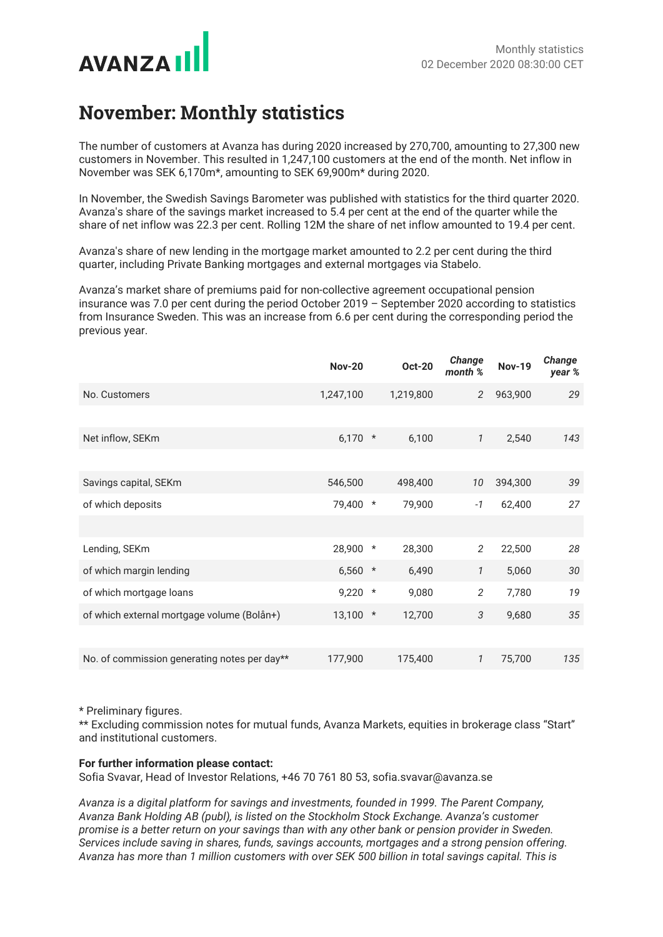

## **November: Monthly statistics**

The number of customers at Avanza has during 2020 increased by 270,700, amounting to 27,300 new customers in November. This resulted in 1,247,100 customers at the end of the month. Net inflow in November was SEK 6,170m\*, amounting to SEK 69,900m\* during 2020.

In November, the Swedish Savings Barometer was published with statistics for the third quarter 2020. Avanza's share of the savings market increased to 5.4 per cent at the end of the quarter while the share of net inflow was 22.3 per cent. Rolling 12M the share of net inflow amounted to 19.4 per cent.

Avanza's share of new lending in the mortgage market amounted to 2.2 per cent during the third quarter, including Private Banking mortgages and external mortgages via Stabelo.

Avanza's market share of premiums paid for non-collective agreement occupational pension insurance was 7.0 per cent during the period October 2019 – September 2020 according to statistics from Insurance Sweden. This was an increase from 6.6 per cent during the corresponding period the previous year.

|                                              | <b>Nov-20</b> |          | <b>Oct-20</b> | Change<br>month % | <b>Nov-19</b> | Change<br>year % |
|----------------------------------------------|---------------|----------|---------------|-------------------|---------------|------------------|
| No. Customers                                | 1,247,100     |          | 1,219,800     | 2                 | 963,900       | 29               |
|                                              |               |          |               |                   |               |                  |
| Net inflow, SEKm                             | 6,170         | $\ast$   | 6,100         | $\mathcal{I}$     | 2,540         | 143              |
|                                              |               |          |               |                   |               |                  |
| Savings capital, SEKm                        | 546,500       |          | 498,400       | 10                | 394,300       | 39               |
| of which deposits                            | 79,400        | $\ast$   | 79,900        | $-1$              | 62,400        | 27               |
|                                              |               |          |               |                   |               |                  |
| Lending, SEKm                                | 28,900        | $^\star$ | 28,300        | $\overline{2}$    | 22,500        | 28               |
| of which margin lending                      | 6,560         | $\ast$   | 6,490         | $\mathcal{I}$     | 5,060         | 30               |
| of which mortgage loans                      | 9,220         | $\star$  | 9,080         | $\overline{2}$    | 7,780         | 19               |
| of which external mortgage volume (Bolån+)   | 13,100        | $\star$  | 12,700        | $\sqrt{3}$        | 9,680         | 35               |
|                                              |               |          |               |                   |               |                  |
| No. of commission generating notes per day** | 177,900       |          | 175,400       | $\mathcal{I}$     | 75,700        | 135              |

\* Preliminary figures.

\*\* Excluding commission notes for mutual funds, Avanza Markets, equities in brokerage class "Start" and institutional customers.

## **For further information please contact:**

Sofia Svavar, Head of Investor Relations, +46 70 761 80 53, sofia.svavar@avanza.se

*Avanza is a digital platform for savings and investments, founded in 1999. The Parent Company, Avanza Bank Holding AB (publ), is listed on the Stockholm Stock Exchange. Avanza's customer promise is a better return on your savings than with any other bank or pension provider in Sweden. Services include saving in shares, funds, savings accounts, mortgages and a strong pension offering. Avanza has more than 1 million customers with over SEK 500 billion in total savings capital. This is*